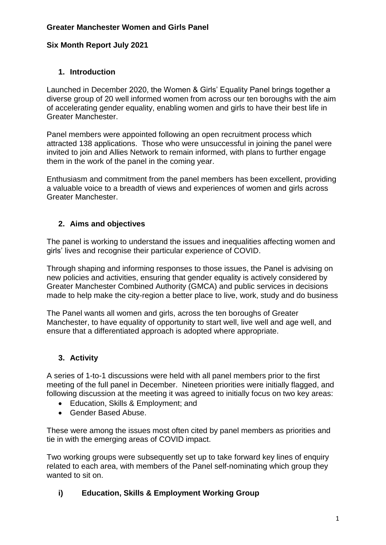## **Greater Manchester Women and Girls Panel**

## **Six Month Report July 2021**

## **1. Introduction**

Launched in December 2020, the Women & Girls' Equality Panel brings together a diverse group of 20 well informed women from across our ten boroughs with the aim of accelerating gender equality, enabling women and girls to have their best life in Greater Manchester.

Panel members were appointed following an open recruitment process which attracted 138 applications. Those who were unsuccessful in joining the panel were invited to join and Allies Network to remain informed, with plans to further engage them in the work of the panel in the coming year.

Enthusiasm and commitment from the panel members has been excellent, providing a valuable voice to a breadth of views and experiences of women and girls across Greater Manchester.

## **2. Aims and objectives**

The panel is working to understand the issues and inequalities affecting women and girls' lives and recognise their particular experience of COVID.

Through shaping and informing responses to those issues, the Panel is advising on new policies and activities, ensuring that gender equality is actively considered by Greater Manchester Combined Authority (GMCA) and public services in decisions made to help make the city-region a better place to live, work, study and do business

The Panel wants all women and girls, across the ten boroughs of Greater Manchester, to have equality of opportunity to start well, live well and age well, and ensure that a differentiated approach is adopted where appropriate.

#### **3. Activity**

A series of 1-to-1 discussions were held with all panel members prior to the first meeting of the full panel in December. Nineteen priorities were initially flagged, and following discussion at the meeting it was agreed to initially focus on two key areas:

- Education, Skills & Employment: and
- Gender Based Abuse.

These were among the issues most often cited by panel members as priorities and tie in with the emerging areas of COVID impact.

Two working groups were subsequently set up to take forward key lines of enquiry related to each area, with members of the Panel self-nominating which group they wanted to sit on.

#### **i) Education, Skills & Employment Working Group**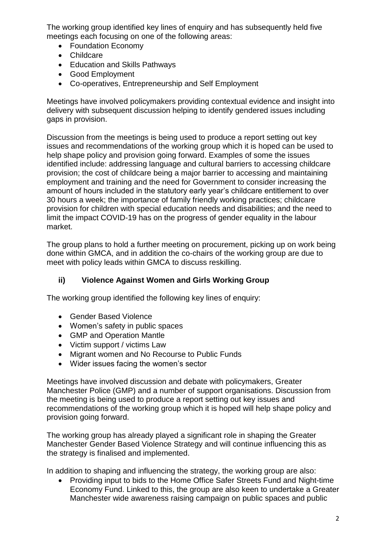The working group identified key lines of enquiry and has subsequently held five meetings each focusing on one of the following areas:

- Foundation Economy
- Childcare
- Education and Skills Pathways
- Good Employment
- Co-operatives, Entrepreneurship and Self Employment

Meetings have involved policymakers providing contextual evidence and insight into delivery with subsequent discussion helping to identify gendered issues including gaps in provision.

Discussion from the meetings is being used to produce a report setting out key issues and recommendations of the working group which it is hoped can be used to help shape policy and provision going forward. Examples of some the issues identified include: addressing language and cultural barriers to accessing childcare provision; the cost of childcare being a major barrier to accessing and maintaining employment and training and the need for Government to consider increasing the amount of hours included in the statutory early year's childcare entitlement to over 30 hours a week; the importance of family friendly working practices; childcare provision for children with special education needs and disabilities; and the need to limit the impact COVID-19 has on the progress of gender equality in the labour market.

The group plans to hold a further meeting on procurement, picking up on work being done within GMCA, and in addition the co-chairs of the working group are due to meet with policy leads within GMCA to discuss reskilling.

# **ii) Violence Against Women and Girls Working Group**

The working group identified the following key lines of enquiry:

- Gender Based Violence
- Women's safety in public spaces
- GMP and Operation Mantle
- Victim support / victims Law
- Migrant women and No Recourse to Public Funds
- Wider issues facing the women's sector

Meetings have involved discussion and debate with policymakers, Greater Manchester Police (GMP) and a number of support organisations. Discussion from the meeting is being used to produce a report setting out key issues and recommendations of the working group which it is hoped will help shape policy and provision going forward.

The working group has already played a significant role in shaping the Greater Manchester Gender Based Violence Strategy and will continue influencing this as the strategy is finalised and implemented.

In addition to shaping and influencing the strategy, the working group are also:

 Providing input to bids to the Home Office Safer Streets Fund and Night-time Economy Fund. Linked to this, the group are also keen to undertake a Greater Manchester wide awareness raising campaign on public spaces and public